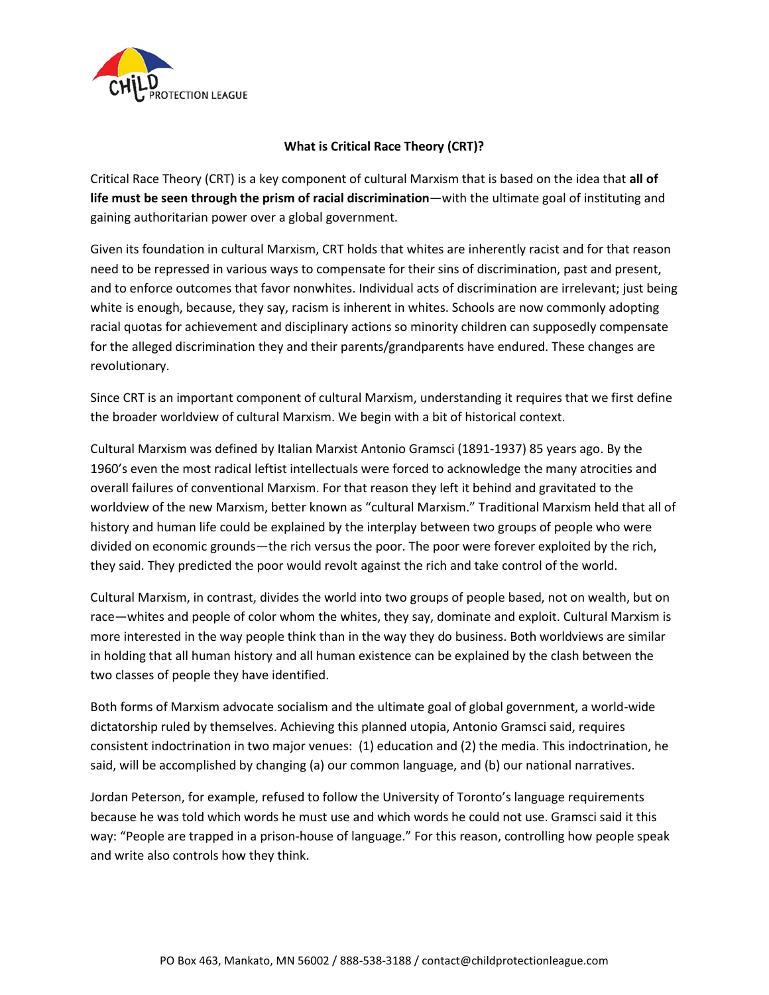

## **What is Critical Race Theory (CRT)?**

Critical Race Theory (CRT) is a key component of cultural Marxism that is based on the idea that **all of life must be seen through the prism of racial discrimination**—with the ultimate goal of instituting and gaining authoritarian power over a global government.

Given its foundation in cultural Marxism, CRT holds that whites are inherently racist and for that reason need to be repressed in various ways to compensate for their sins of discrimination, past and present, and to enforce outcomes that favor nonwhites. Individual acts of discrimination are irrelevant; just being white is enough, because, they say, racism is inherent in whites. Schools are now commonly adopting racial quotas for achievement and disciplinary actions so minority children can supposedly compensate for the alleged discrimination they and their parents/grandparents have endured. These changes are revolutionary.

Since CRT is an important component of cultural Marxism, understanding it requires that we first define the broader worldview of cultural Marxism. We begin with a bit of historical context.

Cultural Marxism was defined by Italian Marxist Antonio Gramsci (1891-1937) 85 years ago. By the 1960's even the most radical leftist intellectuals were forced to acknowledge the many atrocities and overall failures of conventional Marxism. For that reason they left it behind and gravitated to the worldview of the new Marxism, better known as "cultural Marxism." Traditional Marxism held that all of history and human life could be explained by the interplay between two groups of people who were divided on economic grounds—the rich versus the poor. The poor were forever exploited by the rich, they said. They predicted the poor would revolt against the rich and take control of the world.

Cultural Marxism, in contrast, divides the world into two groups of people based, not on wealth, but on race—whites and people of color whom the whites, they say, dominate and exploit. Cultural Marxism is more interested in the way people think than in the way they do business. Both worldviews are similar in holding that all human history and all human existence can be explained by the clash between the two classes of people they have identified.

Both forms of Marxism advocate socialism and the ultimate goal of global government, a world-wide dictatorship ruled by themselves. Achieving this planned utopia, Antonio Gramsci said, requires consistent indoctrination in two major venues: (1) education and (2) the media. This indoctrination, he said, will be accomplished by changing (a) our common language, and (b) our national narratives.

Jordan Peterson, for example, refused to follow the University of Toronto's language requirements because he was told which words he must use and which words he could not use. Gramsci said it this way: "People are trapped in a prison-house of language." For this reason, controlling how people speak and write also controls how they think.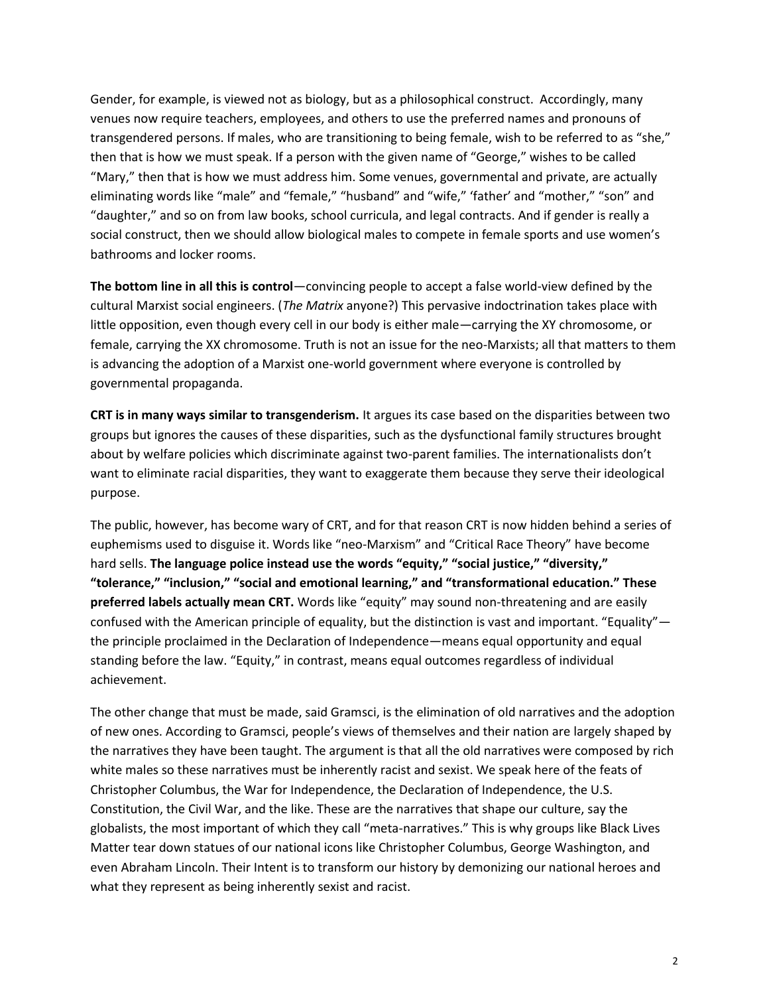Gender, for example, is viewed not as biology, but as a philosophical construct. Accordingly, many venues now require teachers, employees, and others to use the preferred names and pronouns of transgendered persons. If males, who are transitioning to being female, wish to be referred to as "she," then that is how we must speak. If a person with the given name of "George," wishes to be called "Mary," then that is how we must address him. Some venues, governmental and private, are actually eliminating words like "male" and "female," "husband" and "wife," 'father' and "mother," "son" and "daughter," and so on from law books, school curricula, and legal contracts. And if gender is really a social construct, then we should allow biological males to compete in female sports and use women's bathrooms and locker rooms.

**The bottom line in all this is control**—convincing people to accept a false world-view defined by the cultural Marxist social engineers. (*The Matrix* anyone?) This pervasive indoctrination takes place with little opposition, even though every cell in our body is either male—carrying the XY chromosome, or female, carrying the XX chromosome. Truth is not an issue for the neo-Marxists; all that matters to them is advancing the adoption of a Marxist one-world government where everyone is controlled by governmental propaganda.

**CRT is in many ways similar to transgenderism.** It argues its case based on the disparities between two groups but ignores the causes of these disparities, such as the dysfunctional family structures brought about by welfare policies which discriminate against two-parent families. The internationalists don't want to eliminate racial disparities, they want to exaggerate them because they serve their ideological purpose.

The public, however, has become wary of CRT, and for that reason CRT is now hidden behind a series of euphemisms used to disguise it. Words like "neo-Marxism" and "Critical Race Theory" have become hard sells. **The language police instead use the words "equity," "social justice," "diversity," "tolerance," "inclusion," "social and emotional learning," and "transformational education." These preferred labels actually mean CRT.** Words like "equity" may sound non-threatening and are easily confused with the American principle of equality, but the distinction is vast and important. "Equality" the principle proclaimed in the Declaration of Independence—means equal opportunity and equal standing before the law. "Equity," in contrast, means equal outcomes regardless of individual achievement.

The other change that must be made, said Gramsci, is the elimination of old narratives and the adoption of new ones. According to Gramsci, people's views of themselves and their nation are largely shaped by the narratives they have been taught. The argument is that all the old narratives were composed by rich white males so these narratives must be inherently racist and sexist. We speak here of the feats of Christopher Columbus, the War for Independence, the Declaration of Independence, the U.S. Constitution, the Civil War, and the like. These are the narratives that shape our culture, say the globalists, the most important of which they call "meta-narratives." This is why groups like Black Lives Matter tear down statues of our national icons like Christopher Columbus, George Washington, and even Abraham Lincoln. Their Intent is to transform our history by demonizing our national heroes and what they represent as being inherently sexist and racist.